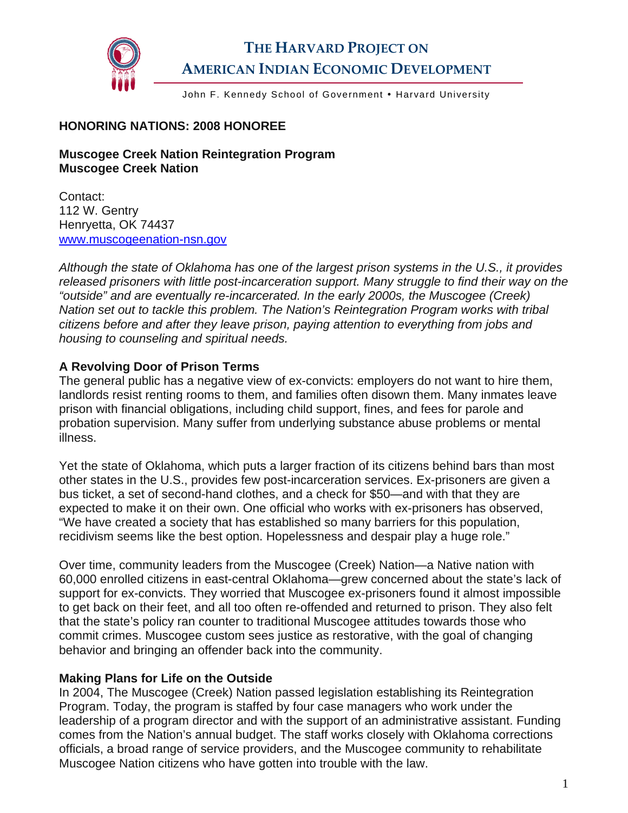

# **THE HARVARD PROJECT ON AMERICAN INDIAN ECONOMIC DEVELOPMENT**

John F. Kennedy School of Government . Harvard University

### **HONORING NATIONS: 2008 HONOREE**

### **Muscogee Creek Nation Reintegration Program Muscogee Creek Nation**

Contact: 112 W. Gentry Henryetta, OK 74437 [www.muscogeenation-nsn.gov](http://www.muscogeenation-nsn.gov/)

*Although the state of Oklahoma has one of the largest prison systems in the U.S., it provides*  released prisoners with little post-incarceration support. Many struggle to find their way on the *"outside" and are eventually re-incarcerated. In the early 2000s, the Muscogee (Creek) Nation set out to tackle this problem. The Nation's Reintegration Program works with tribal citizens before and after they leave prison, paying attention to everything from jobs and housing to counseling and spiritual needs.* 

## **A Revolving Door of Prison Terms**

The general public has a negative view of ex-convicts: employers do not want to hire them, landlords resist renting rooms to them, and families often disown them. Many inmates leave prison with financial obligations, including child support, fines, and fees for parole and probation supervision. Many suffer from underlying substance abuse problems or mental illness.

Yet the state of Oklahoma, which puts a larger fraction of its citizens behind bars than most other states in the U.S., provides few post-incarceration services. Ex-prisoners are given a bus ticket, a set of second-hand clothes, and a check for \$50—and with that they are expected to make it on their own. One official who works with ex-prisoners has observed, "We have created a society that has established so many barriers for this population, recidivism seems like the best option. Hopelessness and despair play a huge role."

Over time, community leaders from the Muscogee (Creek) Nation—a Native nation with 60,000 enrolled citizens in east-central Oklahoma—grew concerned about the state's lack of support for ex-convicts. They worried that Muscogee ex-prisoners found it almost impossible to get back on their feet, and all too often re-offended and returned to prison. They also felt that the state's policy ran counter to traditional Muscogee attitudes towards those who commit crimes. Muscogee custom sees justice as restorative, with the goal of changing behavior and bringing an offender back into the community.

### **Making Plans for Life on the Outside**

In 2004, The Muscogee (Creek) Nation passed legislation establishing its Reintegration Program. Today, the program is staffed by four case managers who work under the leadership of a program director and with the support of an administrative assistant. Funding comes from the Nation's annual budget. The staff works closely with Oklahoma corrections officials, a broad range of service providers, and the Muscogee community to rehabilitate Muscogee Nation citizens who have gotten into trouble with the law.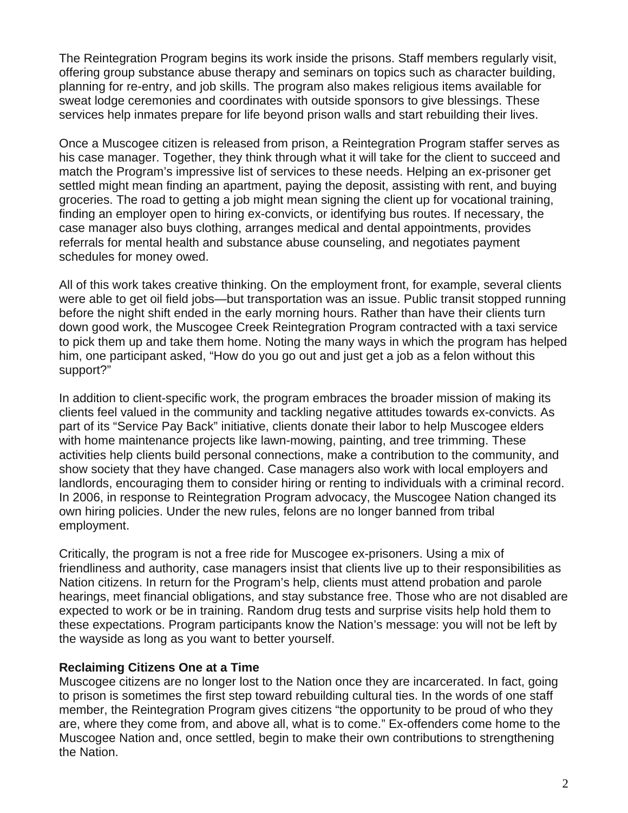The Reintegration Program begins its work inside the prisons. Staff members regularly visit, offering group substance abuse therapy and seminars on topics such as character building, planning for re-entry, and job skills. The program also makes religious items available for sweat lodge ceremonies and coordinates with outside sponsors to give blessings. These services help inmates prepare for life beyond prison walls and start rebuilding their lives.

Once a Muscogee citizen is released from prison, a Reintegration Program staffer serves as his case manager. Together, they think through what it will take for the client to succeed and match the Program's impressive list of services to these needs. Helping an ex-prisoner get settled might mean finding an apartment, paying the deposit, assisting with rent, and buying groceries. The road to getting a job might mean signing the client up for vocational training, finding an employer open to hiring ex-convicts, or identifying bus routes. If necessary, the case manager also buys clothing, arranges medical and dental appointments, provides referrals for mental health and substance abuse counseling, and negotiates payment schedules for money owed.

All of this work takes creative thinking. On the employment front, for example, several clients were able to get oil field jobs—but transportation was an issue. Public transit stopped running before the night shift ended in the early morning hours. Rather than have their clients turn down good work, the Muscogee Creek Reintegration Program contracted with a taxi service to pick them up and take them home. Noting the many ways in which the program has helped him, one participant asked, "How do you go out and just get a job as a felon without this support?"

In addition to client-specific work, the program embraces the broader mission of making its clients feel valued in the community and tackling negative attitudes towards ex-convicts. As part of its "Service Pay Back" initiative, clients donate their labor to help Muscogee elders with home maintenance projects like lawn-mowing, painting, and tree trimming. These activities help clients build personal connections, make a contribution to the community, and show society that they have changed. Case managers also work with local employers and landlords, encouraging them to consider hiring or renting to individuals with a criminal record. In 2006, in response to Reintegration Program advocacy, the Muscogee Nation changed its own hiring policies. Under the new rules, felons are no longer banned from tribal employment.

Critically, the program is not a free ride for Muscogee ex-prisoners. Using a mix of friendliness and authority, case managers insist that clients live up to their responsibilities as Nation citizens. In return for the Program's help, clients must attend probation and parole hearings, meet financial obligations, and stay substance free. Those who are not disabled are expected to work or be in training. Random drug tests and surprise visits help hold them to these expectations. Program participants know the Nation's message: you will not be left by the wayside as long as you want to better yourself.

## **Reclaiming Citizens One at a Time**

Muscogee citizens are no longer lost to the Nation once they are incarcerated. In fact, going to prison is sometimes the first step toward rebuilding cultural ties. In the words of one staff member, the Reintegration Program gives citizens "the opportunity to be proud of who they are, where they come from, and above all, what is to come." Ex-offenders come home to the Muscogee Nation and, once settled, begin to make their own contributions to strengthening the Nation.